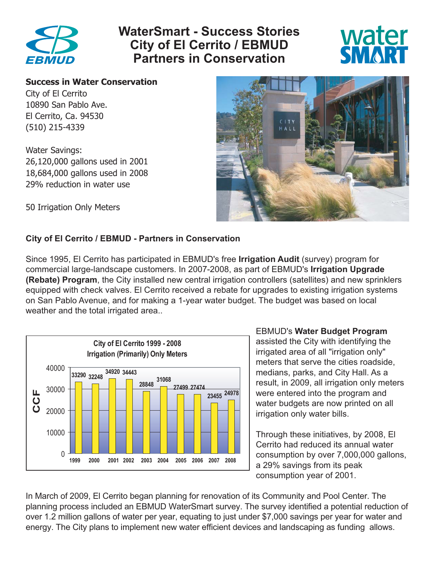

# **WaterSmart - Success Stories City of El Cerrito / EBMUD Partners in Conservation**



#### **Success in Water Conservation**

City of El Cerrito 10890 San Pablo Ave. El Cerrito, Ca. 94530 (510) 215-4339

Water Savings: 26,120,000 gallons used in 2001 18,684,000 gallons used in 2008 29% reduction in water use

50 Irrigation Only Meters



#### **City of El Cerrito / EBMUD - Partners in Conservation**

Since 1995, El Cerrito has participated in EBMUD's free **Irrigation Audit** (survey) program for commercial large-landscape customers. In 2007-2008, as part of EBMUD's **Irrigation Upgrade (Rebate) Program**, the City installed new central irrigation controllers (satellites) and new sprinklers equipped with check valves. El Cerrito received a rebate for upgrades to existing irrigation systems on San Pablo Avenue, and for making a 1-year water budget. The budget was based on local weather and the total irrigated area..



EBMUD's **Water Budget Program**

 assisted the City with identifying the irrigated area of all "irrigation only" meters that serve the cities roadside, medians, parks, and City Hall. As a result, in 2009, all irrigation only meters were entered into the program and water budgets are now printed on all irrigation only water bills.

 Through these initiatives, by 2008, El Cerrito had reduced its annual water a 29% savings from its peak consumption year of 2001.

In March of 2009, El Cerrito began planning for renovation of its Community and Pool Center. The planning process included an EBMUD WaterSmart survey. The survey identified a potential reduction of over 1.2 million gallons of water per year, equating to just under \$7,000 savings per year for water and energy. The City plans to implement new water efficient devices and landscaping as funding allows.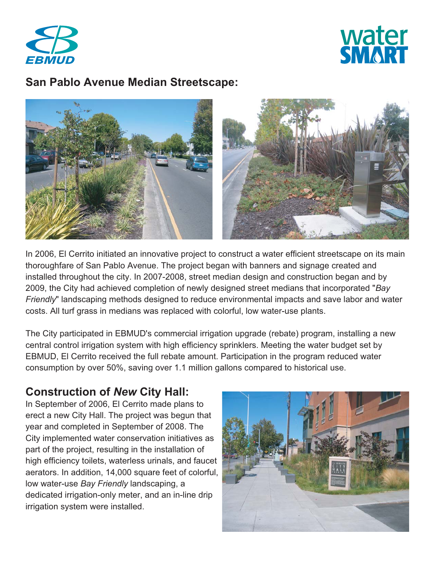



### **San Pablo Avenue Median Streetscape:**



In 2006, El Cerrito initiated an innovative project to construct a water efficient streetscape on its main thoroughfare of San Pablo Avenue. The project began with banners and signage created and installed throughout the city. In 2007-2008, street median design and construction began and by 2009, the City had achieved completion of newly designed street medians that incorporated "*Bay Friendly*" landscaping methods designed to reduce environmental impacts and save labor and water costs. All turf grass in medians was replaced with colorful, low water-use plants.

The City participated in EBMUD's commercial irrigation upgrade (rebate) program, installing a new central control irrigation system with high efficiency sprinklers. Meeting the water budget set by EBMUD, El Cerrito received the full rebate amount. Participation in the program reduced water consumption by over 50%, saving over 1.1 million gallons compared to historical use.

## **Construction of** *New* **City Hall:**

In September of 2006, El Cerrito made plans to erect a new City Hall. The project was begun that year and completed in September of 2008. The City implemented water conservation initiatives as part of the project, resulting in the installation of high efficiency toilets, waterless urinals, and faucet aerators. In addition, 14,000 square feet of colorful, low water-use *Bay Friendly* landscaping, a dedicated irrigation-only meter, and an in-line drip irrigation system were installed.